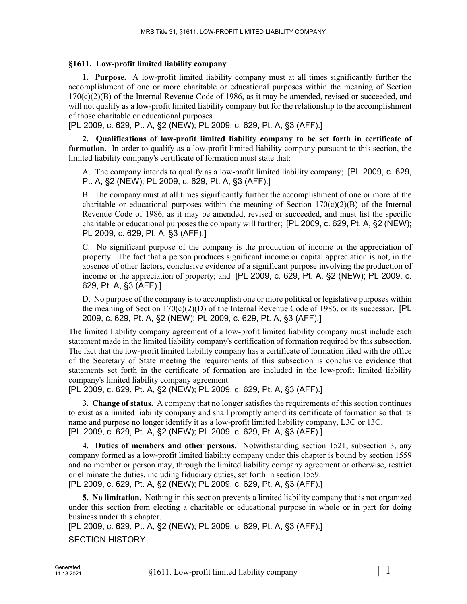## **§1611. Low-profit limited liability company**

**1. Purpose.** A low-profit limited liability company must at all times significantly further the accomplishment of one or more charitable or educational purposes within the meaning of Section  $170(c)(2)(B)$  of the Internal Revenue Code of 1986, as it may be amended, revised or succeeded, and will not qualify as a low-profit limited liability company but for the relationship to the accomplishment of those charitable or educational purposes.

[PL 2009, c. 629, Pt. A, §2 (NEW); PL 2009, c. 629, Pt. A, §3 (AFF).]

**2. Qualifications of low-profit limited liability company to be set forth in certificate of formation.** In order to qualify as a low-profit limited liability company pursuant to this section, the limited liability company's certificate of formation must state that:

A. The company intends to qualify as a low-profit limited liability company; [PL 2009, c. 629, Pt. A, §2 (NEW); PL 2009, c. 629, Pt. A, §3 (AFF).]

B. The company must at all times significantly further the accomplishment of one or more of the charitable or educational purposes within the meaning of Section  $170(c)(2)(B)$  of the Internal Revenue Code of 1986, as it may be amended, revised or succeeded, and must list the specific charitable or educational purposes the company will further; [PL 2009, c. 629, Pt. A, §2 (NEW); PL 2009, c. 629, Pt. A, §3 (AFF).]

C. No significant purpose of the company is the production of income or the appreciation of property. The fact that a person produces significant income or capital appreciation is not, in the absence of other factors, conclusive evidence of a significant purpose involving the production of income or the appreciation of property; and [PL 2009, c. 629, Pt. A, §2 (NEW); PL 2009, c. 629, Pt. A, §3 (AFF).]

D. No purpose of the company is to accomplish one or more political or legislative purposes within the meaning of Section  $170(c)(2)(D)$  of the Internal Revenue Code of 1986, or its successor. [PL 2009, c. 629, Pt. A, §2 (NEW); PL 2009, c. 629, Pt. A, §3 (AFF).]

The limited liability company agreement of a low-profit limited liability company must include each statement made in the limited liability company's certification of formation required by this subsection. The fact that the low-profit limited liability company has a certificate of formation filed with the office of the Secretary of State meeting the requirements of this subsection is conclusive evidence that statements set forth in the certificate of formation are included in the low-profit limited liability company's limited liability company agreement.

[PL 2009, c. 629, Pt. A, §2 (NEW); PL 2009, c. 629, Pt. A, §3 (AFF).]

**3. Change of status.** A company that no longer satisfies the requirements of this section continues to exist as a limited liability company and shall promptly amend its certificate of formation so that its name and purpose no longer identify it as a low-profit limited liability company, L3C or 13C. [PL 2009, c. 629, Pt. A, §2 (NEW); PL 2009, c. 629, Pt. A, §3 (AFF).]

**4. Duties of members and other persons.** Notwithstanding section 1521, subsection 3, any company formed as a low-profit limited liability company under this chapter is bound by section 1559 and no member or person may, through the limited liability company agreement or otherwise, restrict or eliminate the duties, including fiduciary duties, set forth in section 1559. [PL 2009, c. 629, Pt. A, §2 (NEW); PL 2009, c. 629, Pt. A, §3 (AFF).]

**5. No limitation.** Nothing in this section prevents a limited liability company that is not organized under this section from electing a charitable or educational purpose in whole or in part for doing business under this chapter.

[PL 2009, c. 629, Pt. A, §2 (NEW); PL 2009, c. 629, Pt. A, §3 (AFF).]

SECTION HISTORY